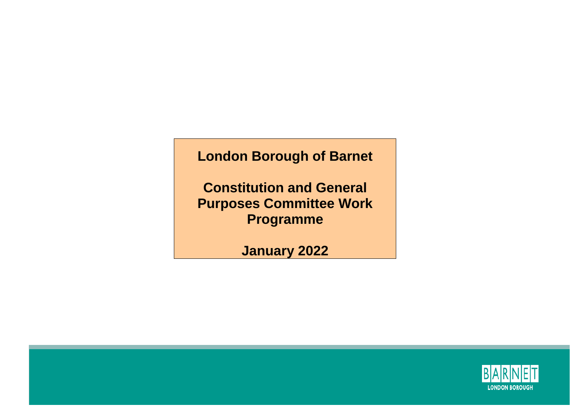## **London Borough of Barnet**

**Constitution and General Purposes Committee Work Programme**

**January 2022**

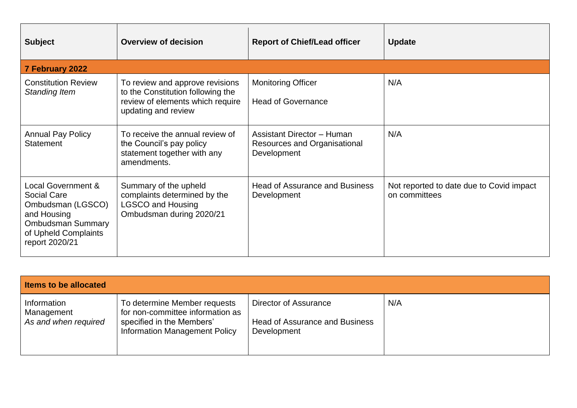| <b>Subject</b>                                                                                                                              | <b>Overview of decision</b>                                                                                                     | <b>Report of Chief/Lead officer</b>                                              | <b>Update</b>                                             |  |  |  |
|---------------------------------------------------------------------------------------------------------------------------------------------|---------------------------------------------------------------------------------------------------------------------------------|----------------------------------------------------------------------------------|-----------------------------------------------------------|--|--|--|
| 7 February 2022                                                                                                                             |                                                                                                                                 |                                                                                  |                                                           |  |  |  |
| <b>Constitution Review</b><br>Standing Item                                                                                                 | To review and approve revisions<br>to the Constitution following the<br>review of elements which require<br>updating and review | <b>Monitoring Officer</b><br><b>Head of Governance</b>                           | N/A                                                       |  |  |  |
| <b>Annual Pay Policy</b><br><b>Statement</b>                                                                                                | To receive the annual review of<br>the Council's pay policy<br>statement together with any<br>amendments.                       | <b>Assistant Director - Human</b><br>Resources and Organisational<br>Development | N/A                                                       |  |  |  |
| Local Government &<br>Social Care<br>Ombudsman (LGSCO)<br>and Housing<br><b>Ombudsman Summary</b><br>of Upheld Complaints<br>report 2020/21 | Summary of the upheld<br>complaints determined by the<br><b>LGSCO and Housing</b><br>Ombudsman during 2020/21                   | <b>Head of Assurance and Business</b><br>Development                             | Not reported to date due to Covid impact<br>on committees |  |  |  |

| <b>Items to be allocated</b>                      |                                                                                                                                       |                                                                               |     |  |
|---------------------------------------------------|---------------------------------------------------------------------------------------------------------------------------------------|-------------------------------------------------------------------------------|-----|--|
| Information<br>Management<br>As and when required | To determine Member requests<br>for non-committee information as<br>specified in the Members'<br><b>Information Management Policy</b> | Director of Assurance<br><b>Head of Assurance and Business</b><br>Development | N/A |  |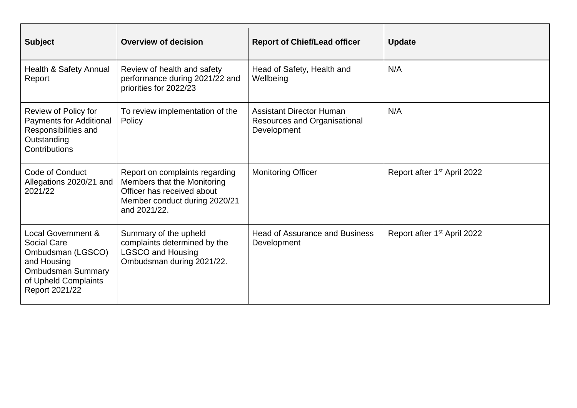| <b>Subject</b>                                                                                                                                                | <b>Overview of decision</b>                                                                                                                  | <b>Report of Chief/Lead officer</b>                                            | <b>Update</b>                           |
|---------------------------------------------------------------------------------------------------------------------------------------------------------------|----------------------------------------------------------------------------------------------------------------------------------------------|--------------------------------------------------------------------------------|-----------------------------------------|
| Health & Safety Annual<br>Report                                                                                                                              | Review of health and safety<br>performance during 2021/22 and<br>priorities for 2022/23                                                      | Head of Safety, Health and<br>Wellbeing                                        | N/A                                     |
| Review of Policy for<br><b>Payments for Additional</b><br>Responsibilities and<br>Outstanding<br>Contributions                                                | To review implementation of the<br>Policy                                                                                                    | <b>Assistant Director Human</b><br>Resources and Organisational<br>Development | N/A                                     |
| Code of Conduct<br>Allegations 2020/21 and<br>2021/22                                                                                                         | Report on complaints regarding<br>Members that the Monitoring<br>Officer has received about<br>Member conduct during 2020/21<br>and 2021/22. | <b>Monitoring Officer</b>                                                      | Report after 1 <sup>st</sup> April 2022 |
| <b>Local Government &amp;</b><br><b>Social Care</b><br>Ombudsman (LGSCO)<br>and Housing<br><b>Ombudsman Summary</b><br>of Upheld Complaints<br>Report 2021/22 | Summary of the upheld<br>complaints determined by the<br><b>LGSCO and Housing</b><br>Ombudsman during 2021/22.                               | <b>Head of Assurance and Business</b><br>Development                           | Report after 1 <sup>st</sup> April 2022 |